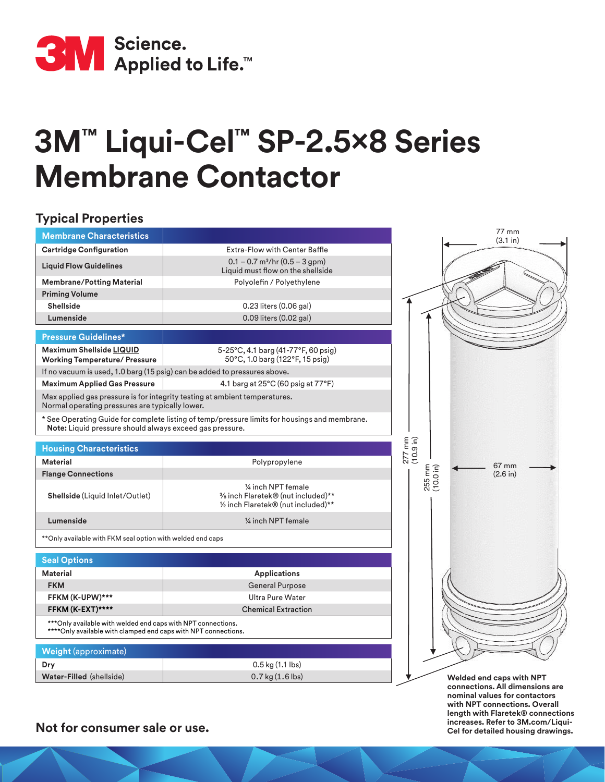

## **3M™ Liqui-Cel™ SP-2.5x8 Series Membrane Contactor**

## **Typical Properties**

| <b>Membrane Characteristics</b>                                                                                                 |                                                                                                   | 77 mm<br>(3.1 in)        |
|---------------------------------------------------------------------------------------------------------------------------------|---------------------------------------------------------------------------------------------------|--------------------------|
| <b>Cartridge Configuration</b>                                                                                                  | <b>Extra-Flow with Center Baffle</b>                                                              |                          |
| <b>Liquid Flow Guidelines</b>                                                                                                   | $0.1 - 0.7$ m <sup>3</sup> /hr (0.5 – 3 gpm)<br>Liquid must flow on the shellside                 |                          |
| <b>Membrane/Potting Material</b>                                                                                                | Polyolefin / Polyethylene                                                                         |                          |
| <b>Priming Volume</b>                                                                                                           |                                                                                                   |                          |
| <b>Shellside</b>                                                                                                                | 0.23 liters (0.06 gal)                                                                            |                          |
| Lumenside                                                                                                                       | $0.09$ liters $(0.02$ gal)                                                                        |                          |
| <b>Pressure Guidelines*</b>                                                                                                     |                                                                                                   |                          |
| <b>Maximum Shellside LIQUID</b><br><b>Working Temperature/ Pressure</b>                                                         | 5-25°C, 4.1 barg (41-77°F, 60 psig)<br>50°C, 1.0 barg (122°F, 15 psig)                            |                          |
|                                                                                                                                 | If no vacuum is used, 1.0 barg (15 psig) can be added to pressures above.                         |                          |
| <b>Maximum Applied Gas Pressure</b>                                                                                             | 4.1 barg at 25°C (60 psig at 77°F)                                                                |                          |
| Max applied gas pressure is for integrity testing at ambient temperatures.<br>Normal operating pressures are typically lower.   |                                                                                                   |                          |
| Note: Liquid pressure should always exceed gas pressure.                                                                        | * See Operating Guide for complete listing of temp/pressure limits for housings and membrane.     |                          |
| <b>Housing Characteristics</b>                                                                                                  |                                                                                                   | 277 mm<br>(10.9 in)      |
| <b>Material</b>                                                                                                                 | Polypropylene                                                                                     |                          |
| <b>Flange Connections</b>                                                                                                       |                                                                                                   | 67 mm<br>$(2.6$ in)      |
| Shellside (Liquid Inlet/Outlet)                                                                                                 | 1/4 inch NPT female<br>3/8 inch Flaretek® (nut included)**<br>1/2 inch Flaretek® (nut included)** | 255 mm<br>(10.0 in)      |
| Lumenside                                                                                                                       | 1/4 inch NPT female                                                                               |                          |
| ** Only available with FKM seal option with welded end caps                                                                     |                                                                                                   |                          |
| <b>Seal Options</b>                                                                                                             |                                                                                                   |                          |
| <b>Material</b>                                                                                                                 | <b>Applications</b>                                                                               |                          |
| <b>FKM</b>                                                                                                                      | <b>General Purpose</b>                                                                            |                          |
| FFKM (K-UPW)***                                                                                                                 | <b>Ultra Pure Water</b>                                                                           |                          |
| FFKM (K-EXT)****                                                                                                                | <b>Chemical Extraction</b>                                                                        |                          |
| *** Only available with welded end caps with NPT connections.<br>****Only available with clamped end caps with NPT connections. |                                                                                                   |                          |
| <b>Weight (approximate)</b>                                                                                                     |                                                                                                   |                          |
| Dry                                                                                                                             | 0.5 kg (1.1 lbs)                                                                                  |                          |
| Water-Filled (shellside)                                                                                                        | $0.7$ kg $(1.6$ lbs)                                                                              | Welded end caps with NPT |

**Not for consumer sale or use.**

**Welded end caps with NPT connections. All dimensions are nominal values for contactors with NPT connections. Overall length with Flaretek® connections increases. Refer to 3M.com/Liqui-Cel for detailed housing drawings.**